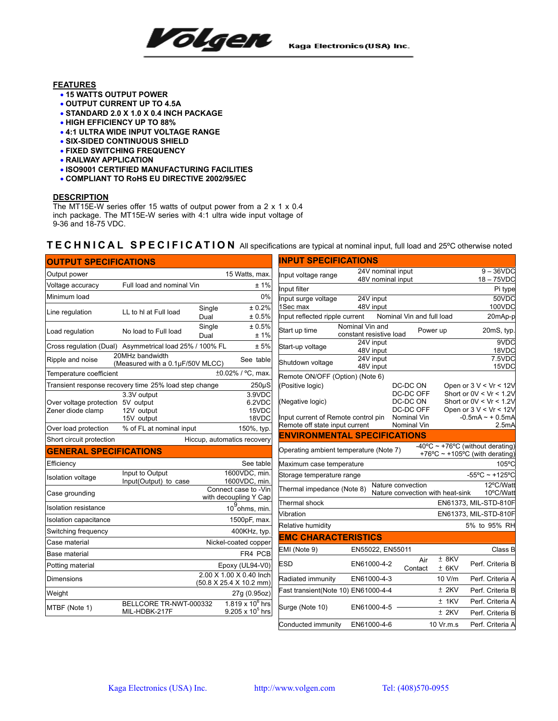

## **FEATURES**

- **15 WATTS OUTPUT POWER**
- **OUTPUT CURRENT UP TO 4.5A**
- **STANDARD 2.0 X 1.0 X 0.4 INCH PACKAGE**
- **HIGH EFFICIENCY UP TO 88%**
- **4:1 ULTRA WIDE INPUT VOLTAGE RANGE**
- **SIX-SIDED CONTINUOUS SHIELD**
- **FIXED SWITCHING FREQUENCY**
- **RAILWAY APPLICATION**
- **ISO9001 CERTIFIED MANUFACTURING FACILITIES**
- **COMPLIANT TO RoHS EU DIRECTIVE 2002/95/EC**

## **DESCRIPTION**

The MT15E-W series offer 15 watts of output power from a 2 x 1 x 0.4 inch package. The MT15E-W series with 4:1 ultra wide input voltage of 9-36 and 18-75 VDC.

## **TECHNICAL SPECIFICATION** All specifications are typical at nominal input, full load and 25ºC otherwise noted

| <b>OUTPUT SPECIFICATIONS</b>                           |                                                         |                                                    | <b>INPUT SPECIFICATIONS</b>            |                                            |                                                       |                    |                                                                    |
|--------------------------------------------------------|---------------------------------------------------------|----------------------------------------------------|----------------------------------------|--------------------------------------------|-------------------------------------------------------|--------------------|--------------------------------------------------------------------|
| Output power                                           |                                                         | 15 Watts, max.                                     | Input voltage range                    | 24V nominal input                          |                                                       |                    | $9 - 36$ VDC                                                       |
| Voltage accuracy                                       | Full load and nominal Vin                               | ±1%                                                | Input filter                           | 48V nominal input                          |                                                       |                    | $18 - 75$ VDC<br>Pi type                                           |
| Minimum load                                           |                                                         | 0%                                                 | Input surge voltage                    | 24V input                                  |                                                       |                    | 50VDC                                                              |
| Line regulation                                        | Single<br>LL to hI at Full load                         | ± 0.2%                                             | 1Sec max                               | 48V input                                  |                                                       |                    | 100VDC                                                             |
|                                                        | Dual                                                    | ± 0.5%                                             | Input reflected ripple current         |                                            | Nominal Vin and full load                             |                    | 20mAp-p                                                            |
| Load regulation                                        | Single<br>No load to Full load<br>Dual                  | ± 0.5%<br>±1%                                      | Start up time                          | Nominal Vin and<br>constant resistive load |                                                       | Power up           | 20mS, typ.                                                         |
|                                                        | Cross regulation (Dual) Asymmetrical load 25% / 100% FL | $\pm$ 5%                                           | Start-up voltage                       | 24V input<br>48V input                     |                                                       |                    | 9VDC<br>18VDC                                                      |
| Ripple and noise                                       | 20MHz bandwidth<br>(Measured with a 0.1µF/50V MLCC)     | See table                                          | Shutdown voltage                       | 24V input<br>48V input                     |                                                       |                    | 7.5VDC<br>15VDC                                                    |
| Temperature coefficient                                |                                                         | ±0.02% / °C, max.                                  | Remote ON/OFF (Option) (Note 6)        |                                            |                                                       |                    |                                                                    |
|                                                        | Transient response recovery time 25% load step change   | $250\mu S$                                         | (Positive logic)                       |                                            | DC-DC ON                                              |                    | Open or $3 V < Vr < 12V$                                           |
|                                                        | 3.3V output                                             | 3.9VDC                                             | (Negative logic)                       |                                            | DC-DC OFF<br>DC-DC ON                                 |                    | Short or $0V < Vr < 1.2V$<br>Short or $0V < Vr < 1.2V$             |
| Over voltage protection 5V output<br>Zener diode clamp | 12V output                                              | 6.2VDC<br>15VDC                                    |                                        |                                            | DC-DC OFF                                             |                    | Open or $3 V < Vr < 12V$                                           |
|                                                        | 15V output                                              | 18VDC                                              | Input current of Remote control pin    |                                            | Nominal Vin                                           |                    | $-0.5mA \sim +0.5mA$                                               |
| Over load protection                                   | % of FL at nominal input                                | 150%, typ.                                         | Remote off state input current         |                                            | Nominal Vin                                           |                    | $2.5m$ A                                                           |
| Short circuit protection                               |                                                         | Hiccup, automatics recovery                        | <b>ENVIRONMENTAL SPECIFICATIONS</b>    |                                            |                                                       |                    |                                                                    |
| <b>GENERAL SPECIFICATIONS</b>                          |                                                         |                                                    | Operating ambient temperature (Note 7) |                                            |                                                       |                    | -40°C ~ +76°C (without derating)<br>+76°C ~ +105°C (with derating) |
| Efficiency                                             |                                                         | See table                                          | Maximum case temperature               |                                            |                                                       |                    | 105°C                                                              |
| Isolation voltage                                      | Input to Output<br>Input(Output) to case                | 1600VDC, min.<br>1600VDC, min.                     | Storage temperature range              |                                            |                                                       |                    | $-55^{\circ}$ C ~ +125°C                                           |
| Case grounding                                         |                                                         | Connect case to -Vin<br>with decoupling Y Cap      | Thermal impedance (Note 8)             |                                            | Nature convection<br>Nature convection with heat-sink |                    | 12°C/Watt<br>10°C/Watt                                             |
| <b>Isolation resistance</b>                            |                                                         | 10 ohms, min.                                      | Thermal shock                          |                                            |                                                       |                    | EN61373, MIL-STD-810F                                              |
| Isolation capacitance                                  |                                                         | 1500pF, max.                                       | Vibration                              |                                            |                                                       |                    | EN61373, MIL-STD-810F                                              |
| Switching frequency                                    |                                                         | 400KHz, typ.                                       | Relative humidity                      |                                            |                                                       |                    | 5% to 95% RH                                                       |
| Case material                                          |                                                         | Nickel-coated copper                               | <b>EMC CHARACTERISTICS</b>             |                                            |                                                       |                    |                                                                    |
| Base material                                          |                                                         | FR4 PCB                                            | EMI (Note 9)                           | EN55022, EN55011                           |                                                       |                    | Class B                                                            |
| Potting material                                       |                                                         | Epoxy (UL94-V0)                                    | <b>ESD</b>                             | EN61000-4-2                                | Air<br>Contact                                        | $±$ 8KV<br>$±$ 6KV | Perf. Criteria B                                                   |
| Dimensions                                             |                                                         | 2.00 X 1.00 X 0.40 Inch<br>(50.8 X 25.4 X 10.2 mm) | Radiated immunity                      | EN61000-4-3                                |                                                       | 10 V/m             | Perf. Criteria A                                                   |
| Weight                                                 |                                                         | 27g (0.95oz)                                       | Fast transient(Note 10) EN61000-4-4    |                                            |                                                       | $±$ 2KV            | Perf. Criteria B                                                   |
|                                                        | BELLCORE TR-NWT-000332                                  | 1.819 x 10 $^6$ hrs                                | Surge (Note 10)                        | EN61000-4-5                                |                                                       | $±$ 1KV            | Perf. Criteria A                                                   |
| MTBF (Note 1)                                          | MIL-HDBK-217F                                           | $9.205 \times 10^5$ hrs                            |                                        |                                            |                                                       | $±$ 2KV            | Perf. Criteria B                                                   |
|                                                        |                                                         |                                                    | Conducted immunity                     | EN61000-4-6                                |                                                       | 10 Vr.m.s          | Perf. Criteria A                                                   |